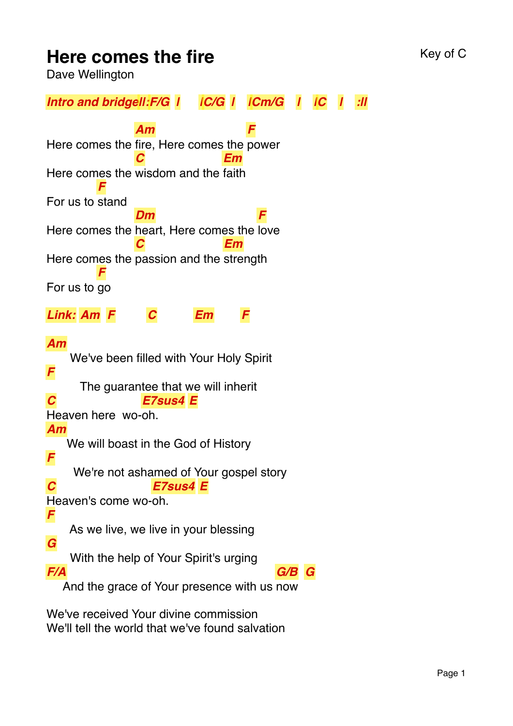## **Here comes the fire** Key of C

Dave Wellington

*Intro and bridge||:F/G | |C/G | |Cm/G | |C | :||* Here comes the fire, Here comes the power *Am F* Here comes the wisdom and the faith *C Em* For us to stand *F* Here comes the heart, Here comes the love *Dm F* Here comes the passion and the strength *C Em* For us to go *F Link: Am F C Em F Am* We've been filled with Your Holy Spirit *F* The guarantee that we will inherit *C* Heaven here wo-oh. *E7sus4 E Am* We will boast in the God of History *F* We're not ashamed of Your gospel story *C* Heaven's come wo-oh. *E7sus4 E F* As we live, we live in your blessing *G* With the help of Your Spirit's urging *F/A* And the grace of Your presence with us now *G/B G* We've received Your divine commission

We'll tell the world that we've found salvation